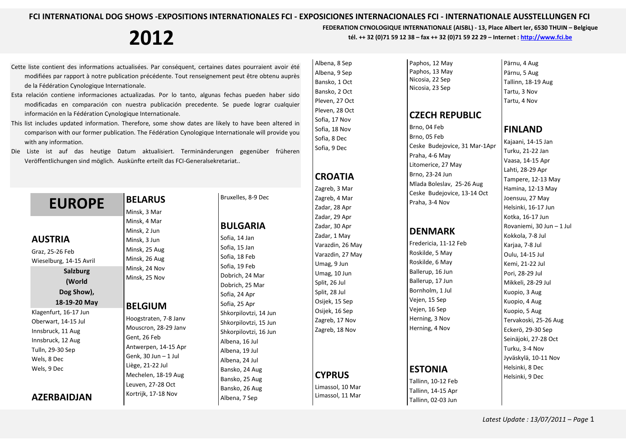Albena, 8 Sep Albena, 9 Sep

**2012 FEDERATION CYNOLOGIQUE INTERNATIONALE** (AISBL) - 13, Place Albert Ier, 6530 THUIN – Belgique tél. ++ 32 (0)71 59 12 38 – fax ++ 32 (0)71 59 22 29 – Internet : http://www.fci.be

- Cette liste contient des informations actualisées. Par conséquent, certaines dates pourraient avoir été modifiées par rapport à notre publication précédente. Tout renseignement peut être obtenu auprès de la Fédération Cynologique Internationale.
- Esta relación contiene informaciones actualizadas. Por lo tanto, algunas fechas pueden haber sido modificadas en comparación con nuestra publicación precedente. Se puede lograr cualquier información en la Fédération Cynologique Internationale.
- This list includes updated information. Therefore, some show dates are likely to have been altered in comparison with our former publication. The Fédération Cynologique Internationale will provide you with any information.
- Die Liste ist auf das heutige Datum aktualisiert. Terminänderungen gegenüber früheren Veröffentlichungen sind möglich. Auskünfte erteilt das FCI-Generalsekretariat..

### **EUROPE AUSTRIA** Graz, 25-26 Feb Wieselburg, 14-15 Avril **Salzburg (World Dog Show),**

**18-19-20 May** 

Klagenfurt, 16-17 Jun Oberwart, 14-15 Jul Innsbruck, 11 Aug Innsbruck, 12 Aug Tulln, 29-30 Sep Wels, 8 Dec Wels, 9 Dec

#### **AZERBAIDJAN**

Minsk, 3 Mar Minsk, 4 Mar Minsk, 2 Jun Minsk, 3 Jun Minsk, 25 Aug Minsk, 26 Aug Minsk, 24 Nov Minsk, 25 Nov

**BELARUS** 

#### **BELGIUM**

Hoogstraten, 7-8 Janv Mouscron, 28-29 Janv Gent, 26 Feb Antwerpen, 14-15 Apr Genk, 30 Jun – 1 Jul Liège, 21-22 Jul Mechelen, 18-19 Aug Leuven, 27-28 Oct Kortrijk, 17-18 Nov

Bruxelles, 8-9 Dec

#### **BULGARIA**

Sofia, 14 Jan Sofia, 15 Jan Sofia, 18 Feb Sofia, 19 Feb Dobrich, 24 Mar Dobrich, 25 Mar Sofia, 24 Apr Sofia, 25 Apr Shkorpilovtzi, 14 Jun Shkorpilovtzi, 15 Jun Shkorpilovtzi, 16 Jun Albena, 16 Jul Albena, 19 Jul Albena, 24 Jul Bansko, 24 Aug Bansko, 25 Aug Bansko, 26 Aug Albena, 7 Sep

Bansko, 1 Oct Bansko, 2 Oct Pleven, 27 Oct Pleven, 28 Oct Sofia, 17 Nov Sofia, 18 Nov Sofia, 8 Dec Sofia, 9 Dec **CROATIA** Zagreb, 3 Mar Zagreb, 4 Mar Zadar, 28 Apr Zadar, 29 Apr Zadar, 30 Apr Zadar, 1 May Varazdin, 26 May Varazdin, 27 May Umag, 9 Jun Umag, 10 Jun Split, 26 Jul Split, 28 Jul Osijek, 15 Sep Osijek, 16 Sep Zagreb, 17 Nov Zagreb, 18 Nov **CYPRUS** Limassol, 10 Mar Limassol, 11 Mar

Paphos, 12 May Paphos, 13 May Nicosia, 22 Sep Nicosia, 23 Sep

#### **CZECH REPUBLIC**

Brno, 04 Feb Brno, 05 Feb Ceske Budejovice, 31 Mar-1Apr Praha, 4-6 May Litomerice, 27 May Brno, 23-24 Jun Mlada Boleslav, 25-26 Aug Ceske Budejovice, 13-14 Oct Praha, 3-4 Nov

#### **DENMARK**

Fredericia, 11-12 Feb Roskilde, 5 May Roskilde, 6 May Ballerup, 16 Jun Ballerup, 17 Jun Bornholm, 1 Jul Vejen, 15 Sep Vejen, 16 Sep Herning, 3 Nov Herning, 4 Nov

#### **ESTONIA**

Tallinn, 10-12 Feb Tallinn, 14-15 Apr Tallinn, 02-03 Jun

Pärnu, 4 Aug Pärnu, 5 Aug Tallinn, 18-19 Aug Tartu, 3 Nov Tartu, 4 Nov

#### **FINLAND**

Kajaani, 14-15 Jan Turku, 21-22 Jan Vaasa, 14-15 Apr Lahti, 28-29 Apr Tampere, 12-13 May Hamina, 12-13 May Joensuu, 27 May Helsinki, 16-17 Jun Kotka, 16-17 Jun Rovaniemi, 30 Jun – 1 Jul Kokkola, 7-8 Jul Karjaa, 7-8 Jul Oulu, 14-15 Jul Kemi, 21-22 Jul Pori, 28-29 Jul Mikkeli, 28-29 Jul Kuopio, 3 Aug Kuopio, 4 Aug Kuopio, 5 Aug Tervakoski, 25-26 Aug Eckerö, 29-30 Sep Seinäjoki, 27-28 Oct Turku, 3-4 Nov Jyväskylä, 10-11 Nov Helsinki, 8 Dec Helsinki, 9 Dec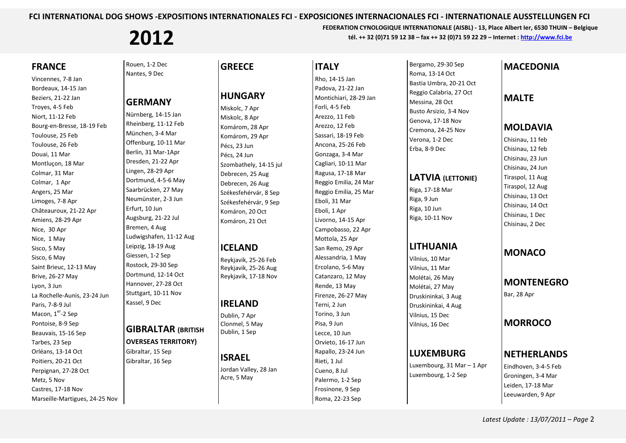**2012** FEDERATION CYNOLOGIQUE INTERNATIONALE (AISBL) - 13, Place Albert Ier, 6530 THUIN – Belgique tél. ++ 32 (0)71 59 12 38 – fax ++ 32 (0)71 59 22 29 – Internet : http://www.fci.be

#### **FRANCE**

Vincennes, 7-8 Jan Bordeaux, 14-15 Jan Beziers, 21-22 Jan Troyes, 4-5 Feb Niort, 11-12 Feb Bourg-en-Bresse, 18-19 Feb Toulouse, 25 Feb Toulouse, 26 Feb Douai, 11 Mar Montluçon, 18 Mar Colmar, 31 Mar Colmar, 1 Apr Angers, 25 Mar Limoges, 7-8 Apr Châteauroux, 21-22 Apr Amiens, 28-29 Apr Nice, 30 Apr Nice, 1 May Sisco, 5 May Sisco, 6 May Saint Brieuc, 12-13 May Brive, 26-27 May Lyon, 3 Jun La Rochelle-Aunis, 23-24 Jun Paris, 7-8-9 Jul Macon,  $1<sup>er</sup> - 2$  Sep Pontoise, 8-9 Sep Beauvais, 15-16 Sep Tarbes, 23 Sep Orléans, 13-14 Oct Poitiers, 20-21 Oct Perpignan, 27-28 Oct Metz, 5 Nov Castres, 17-18 Nov Marseille-Martigues, 24-25 Nov Rouen, 1-2 Dec Nantes, 9 Dec

#### **GERMANY**

Nürnberg, 14-15 Jan Rheinberg, 11-12 Feb München, 3-4 Mar Offenburg, 10-11 Mar Berlin, 31 Mar-1Apr Dresden, 21-22 Apr Lingen, 28-29 Apr Dortmund, 4-5-6 May Saarbrücken, 27 May Neumünster, 2-3 Jun Erfurt, 10 Jun Augsburg, 21-22 Jul Bremen, 4 Aug Ludwigshafen, 11-12 Aug Leipzig, 18-19 Aug Giessen, 1-2 Sep Rostock, 29-30 Sep Dortmund, 12-14 Oct Hannover, 27-28 Oct Stuttgart, 10-11 Nov Kassel, 9 Dec

#### **GIBRALTAR (BRITISH**

#### **OVERSEAS TERRITORY)**

Gibraltar, 15 Sep Gibraltar, 16 Sep

### **GREECE**

#### **HUNGARY**

Miskolc, 7 Apr Miskolc, 8 Apr Komárom, 28 Apr Komárom, 29 Apr Pécs, 23 Jun Pécs, 24 Jun Szombathely, 14-15 jul Debrecen, 25 Aug Debrecen, 26 Aug Székesfehérvár, 8 Sep Székesfehérvár, 9 Sep Komáron, 20 Oct Komáron, 21 Oct

#### **ICELAND**

Reykjavik, 25-26 Feb Reykjavik, 25-26 Aug Reykjavik, 17-18 Nov

#### **IRELAND**

Dublin, 7 Apr Clonmel, 5 May Dublin, 1 Sep

#### **ISRAEL**

Jordan Valley, 28 Jan Acre, 5 May

**ITALY** Rho, 14-15 Jan Padova, 21-22 Jan Montichiari, 28-29 Jan Forli, 4-5 Feb Arezzo, 11 Feb Arezzo, 12 Feb Sassari, 18-19 Feb Ancona, 25-26 Feb Gonzaga, 3-4 Mar Cagliari, 10-11 Mar Ragusa, 17-18 Mar Reggio Emilia, 24 Mar Reggio Emilia, 25 Mar Eboli, 31 Mar Eboli, 1 Apr Livorno, 14-15 Apr Campobasso, 22 Apr Mottola, 25 Apr San Remo, 29 Apr Alessandria, 1 May Ercolano, 5-6 May Catanzaro, 12 May Rende, 13 May Firenze, 26-27 May Terni, 2 Jun Torino, 3 Jun Pisa, 9 Jun Lecce, 10 Jun Orvieto, 16-17 Jun Rapallo, 23-24 Jun Rieti, 1 Jul Cueno, 8 Jul Palermo, 1-2 Sep Frosinone, 9 Sep Roma, 22-23 Sep

Bergamo, 29-30 Sep Roma, 13-14 Oct Bastia Umbra, 20-21 Oct Reggio Calabria, 27 Oct Messina, 28 Oct Busto Arsizio, 3-4 Nov Genova, 17-18 Nov Cremona, 24-25 Nov Verona, 1-2 Dec Erba, 8-9 Dec

#### **LATVIA (LETTONIE)**

Riga, 17-18 Mar Riga, 9 Jun Riga, 10 Jun Riga, 10-11 Nov

#### **LITHUANIA**

Vilnius, 10 Mar Vilnius, 11 Mar Molétai, 26 May Molétai, 27 May Druskininkai, 3 Aug Druskininkai, 4 Aug Vilnius, 15 Dec Vilnius, 16 Dec

#### **LUXEMBURG**

Luxembourg, 31 Mar – 1 Apr Luxembourg, 1-2 Sep

#### **MACEDONIA**

#### **MALTE**

#### **MOLDAVIA**

Chisinau, 11 feb Chisinau, 12 feb Chisinau, 23 Jun Chisinau, 24 Jun Tiraspol, 11 Aug Tiraspol, 12 Aug Chisinau, 13 Oct Chisinau, 14 Oct Chisinau, 1 Dec Chisinau, 2 Dec

#### **MONACO**

**MONTENEGRO** Bar, 28 Apr

#### **MORROCO**

#### **NETHERLANDS**

Eindhoven, 3-4-5 Feb Groningen, 3-4 Mar Leiden, 17-18 Mar Leeuwarden, 9 Apr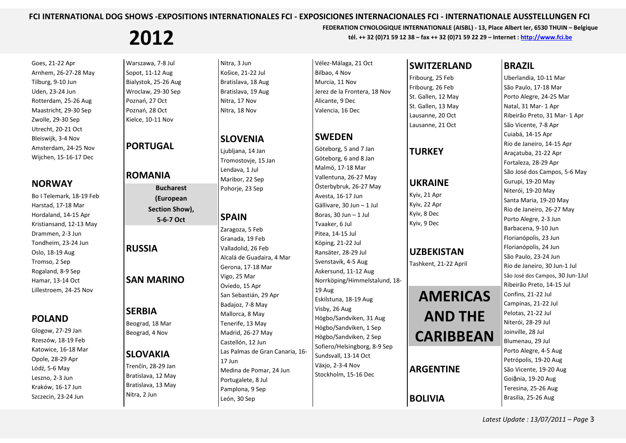# **2012 FEDERATION CYNOLOGIQUE INTERNATIONALE** (AISBL) - 13, Place Albert Ier, 6530 THUIN – Belgique tél. ++ 32 (0)71 59 12 38 – fax ++ 32 (0)71 59 22 29 – Internet : http://www.fci.be

Goes, 21-22 Apr Arnhem, 26-27-28 May Tilburg, 9-10 Jun Uden, 23-24 Jun Rotterdam, 25-26 Aug Maastricht, 29-30 Sep Zwolle, 29-30 Sep Utrecht, 20-21 Oct Bleiswijk, 3-4 Nov Amsterdam, 24-25 Nov Wijchen, 15-16-17 Dec

#### **NORWAY**

Bo I Telemark, 18-19 Feb Harstad, 17-18 Mar Hordaland, 14-15 Apr Kristiansand, 12-13 May Drammen, 2-3 Jun Tondheim, 23-24 Jun Oslo, 18-19 Aug Tromso, 2 Sep Rogaland, 8-9 Sep Hamar, 13-14 Oct Lillestroem, 24-25 Nov

#### **POLAND**

Glogow, 27-29 Jan Rzeszów, 18-19 Feb Katowice, 16-18 Mar Opole, 28-29 Apr Lódź, 5-6 May Leszno, 2-3 Jun Kraków, 16-17 Jun Szczecin, 23-24 Jun

Warszawa, 7-8 Jul Sopot, 11-12 Aug Bialystok, 25-26 Aug Wroclaw, 29-30 Sep Poznań, 27 Oct Poznań, 28 Oct Kielce, 10-11 Nov

**PORTUGAL** 

#### **ROMANIA**

**Bucharest (European Section Show), 5-6-7 Oct** 

#### **RUSSIA**

#### **SAN MARINO**

#### **SERBIA**

Beograd, 18 Mar Beograd, 4 Nov

#### **SLOVAKIA**

Trenčín, 28-29 Jan Bratislava, 12 May Bratislava, 13 May Nitra, 2 Jun

Nitra, 3 Jun Košice, 21-22 Jul Bratislava, 18 Aug Bratislava, 19 Aug Nitra, 17 Nov Nitra, 18 Nov

#### **SLOVENIA**

Ljubljana, 14 Jan Tromostovje, 15 Jan Lendava, 1 Jul Maribor, 22 Sep Pohorje, 23 Sep

#### **SPAIN**

Zaragoza, 5 Feb Granada, 19 Feb Valladolid, 26 Feb Alcalá de Guadaira, 4 Mar Gerona, 17-18 Mar Vigo, 25 Mar Oviedo, 15 Apr San Sebastián, 29 Apr Badajoz, 7-8 May Mallorca, 8 May Tenerife, 13 May Madrid, 26-27 May Castellón, 12 Jun Las Palmas de Gran Canaria, 16-17 Jun Medina de Pomar, 24 Jun Portugalete, 8 Jul Pamplona, 9 Sep León, 30 Sep

Vélez-Málaga, 21 Oct Bilbao, 4 Nov Murcia, 11 Nov Jerez de la Frontera, 18 Nov Alicante, 9 Dec Valencia, 16 Dec

### **SWEDEN**

Göteborg, 5 and 7 Jan Göteborg, 6 and 8 Jan Malmö, 17-18 Mar Vallentuna, 26-27 May Österbybruk, 26-27 May Avesta, 16-17 Jun Gällivare, 30 Jun – 1 Jul Boras,  $30$  Jun  $-1$  Jul Tvaaker, 6 Jul Pitea, 14-15 Jul Köping, 21-22 Jul Ransäter, 28-29 Jul Svenstavik, 4-5 Aug Askersund, 11-12 Aug Norrköping/Himmelstalund, 18-19 Aug Eskilstuna, 18-19 Aug Visby, 26 Aug Högbo/Sandviken, 31 Aug Högbo/Sandviken, 1 Sep Högbo/Sandviken, 2 Sep Sofiero/Helsingborg, 8-9 Sep Sundsvall, 13-14 Oct Växjo, 2-3-4 Nov Stockholm, 15-16 Dec

#### **SWITZERLAND**

Fribourg, 25 Feb Fribourg, 26 Feb St. Gallen, 12 May St. Gallen, 13 May Lausanne, 20 Oct Lausanne, 21 Oct

#### **TURKEY**

#### **UKRAINE**

#### **UZBEKISTAN**

## **AMERICAS AND THE CARIBBEAN**

#### **ARGENTINE**

**BOLIVIA** 

#### **BRAZIL**

Uberlandia, 10-11 Mar São Paulo, 17-18 Mar Porto Alegre, 24-25 Mar Natal, 31 Mar- 1 Apr Ribeirão Preto, 31 Mar- 1 Apr São Vicente, 7-8 Apr Cuiabá, 14-15 Apr Rio de Janeiro, 14-15 Apr Araçatuba, 21-22 Apr Fortaleza, 28-29 Apr São José dos Campos, 5-6 May Gurupi, 19-20 May Niterói, 19-20 May Santa Maria, 19-20 May Rio de Janeiro, 26-27 May Porto Alegre, 2-3 Jun Barbacena, 9-10 Jun Florianópolis, 23 Jun Florianópolis, 24 Jun São Paulo, 23-24 Jun Rio de Janeiro, 30 Jun-1 Jul São José dos Campos, 30 Jun-1Jul Ribeirão Preto, 14-15 Jul Confins, 21-22 Jul Campinas, 21-22 Jul Pelotas, 21-22 Jul Niterói, 28-29 Jul Joinville, 28 Jul Blumenau, 29 Jul Porto Alegre, 4-5 Aug Petrópolis, 19-20 Aug São Vicente, 19-20 Aug Goiậnia, 19-20 Aug Teresina, 25-26 Aug Brasilia, 25-26 Aug

Kyiv, 21 Apr Kyiv, 22 Apr Kyiv, 8 Dec Kyiv, 9 Dec

Tashkent, 21-22 April